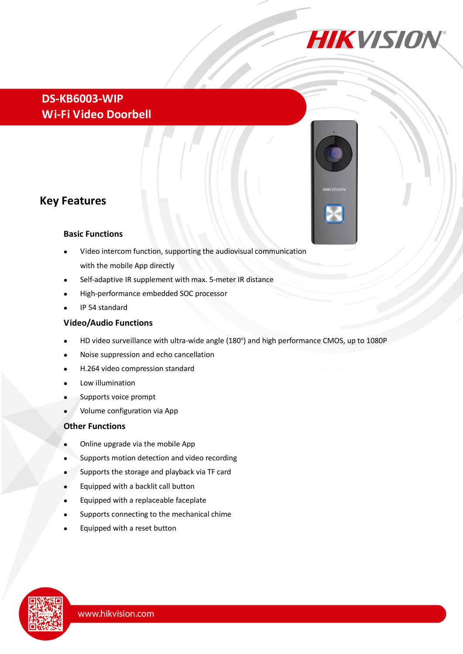

## **DS-KB6003-WIP Wi-Fi Video Doorbell**

## **Key Features**

#### **Basic Functions**

- Video intercom function, supporting the audiovisual communication with the mobile App directly
- Self-adaptive IR supplement with max. 5-meter IR distance
- High-performance embedded SOC processor
- IP 54 standard

#### **Video/Audio Functions**

- HD video surveillance with ultra-wide angle (180 ) and high performance CMOS, up to 1080P
- Noise suppression and echo cancellation
- H.264 video compression standard
- Low illumination
- Supports voice prompt
- Volume configuration via App

#### **Other Functions**

- Online upgrade via the mobile App
- Supports motion detection and video recording
- Supports the storage and playback via TF card
- Equipped with a backlit call button
- Equipped with a replaceable faceplate
- Supports connecting to the mechanical chime
- Equipped with a reset button



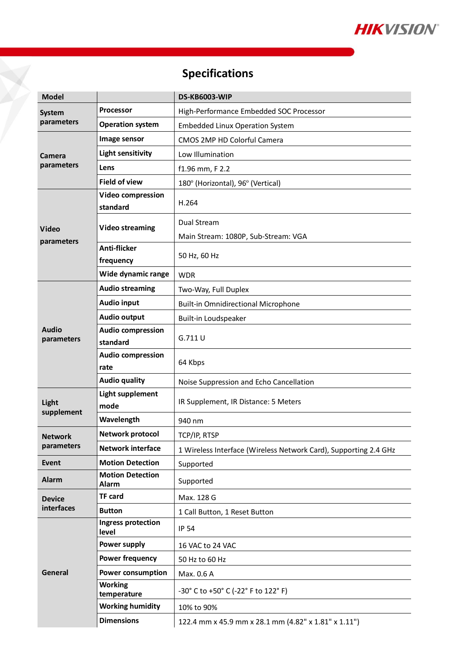

# **Specifications**

¥,

| <b>Model</b>                 |                                      | <b>DS-KB6003-WIP</b>                                             |
|------------------------------|--------------------------------------|------------------------------------------------------------------|
| <b>System</b><br>parameters  | <b>Processor</b>                     | High-Performance Embedded SOC Processor                          |
|                              | <b>Operation system</b>              | <b>Embedded Linux Operation System</b>                           |
| Camera<br>parameters         | Image sensor                         | CMOS 2MP HD Colorful Camera                                      |
|                              | <b>Light sensitivity</b>             | Low Illumination                                                 |
|                              | Lens                                 | f1.96 mm, F 2.2                                                  |
|                              | <b>Field of view</b>                 | 180 °(Horizontal), 96 °(Vertical)                                |
| Video<br>parameters          | <b>Video compression</b><br>standard | H.264                                                            |
|                              | <b>Video streaming</b>               | Dual Stream<br>Main Stream: 1080P, Sub-Stream: VGA               |
|                              | <b>Anti-flicker</b><br>frequency     | 50 Hz, 60 Hz                                                     |
|                              | Wide dynamic range                   | <b>WDR</b>                                                       |
| <b>Audio</b><br>parameters   | <b>Audio streaming</b>               | Two-Way, Full Duplex                                             |
|                              | <b>Audio input</b>                   | <b>Built-in Omnidirectional Microphone</b>                       |
|                              | <b>Audio output</b>                  | Built-in Loudspeaker                                             |
|                              | <b>Audio compression</b><br>standard | G.711 U                                                          |
|                              | <b>Audio compression</b><br>rate     | 64 Kbps                                                          |
|                              | <b>Audio quality</b>                 | Noise Suppression and Echo Cancellation                          |
| Light<br>supplement          | <b>Light supplement</b><br>mode      | IR Supplement, IR Distance: 5 Meters                             |
|                              | Wavelength                           | 940 nm                                                           |
| <b>Network</b><br>parameters | Network protocol                     | TCP/IP, RTSP                                                     |
|                              | <b>Network interface</b>             | 1 Wireless Interface (Wireless Network Card), Supporting 2.4 GHz |
| Event                        | <b>Motion Detection</b>              | Supported                                                        |
| <b>Alarm</b>                 | <b>Motion Detection</b><br>Alarm     | Supported                                                        |
| <b>Device</b><br>interfaces  | <b>TF card</b>                       | Max. 128 G                                                       |
|                              | <b>Button</b>                        | 1 Call Button, 1 Reset Button                                    |
| General                      | Ingress protection<br>level          | <b>IP 54</b>                                                     |
|                              | Power supply                         | 16 VAC to 24 VAC                                                 |
|                              | <b>Power frequency</b>               | 50 Hz to 60 Hz                                                   |
|                              | <b>Power consumption</b>             | Max. 0.6 A                                                       |
|                              | <b>Working</b><br>temperature        | -30° C to +50° C (-22° F to 122° F)                              |
|                              | <b>Working humidity</b>              | 10% to 90%                                                       |
|                              | <b>Dimensions</b>                    | 122.4 mm x 45.9 mm x 28.1 mm (4.82" x 1.81" x 1.11")             |